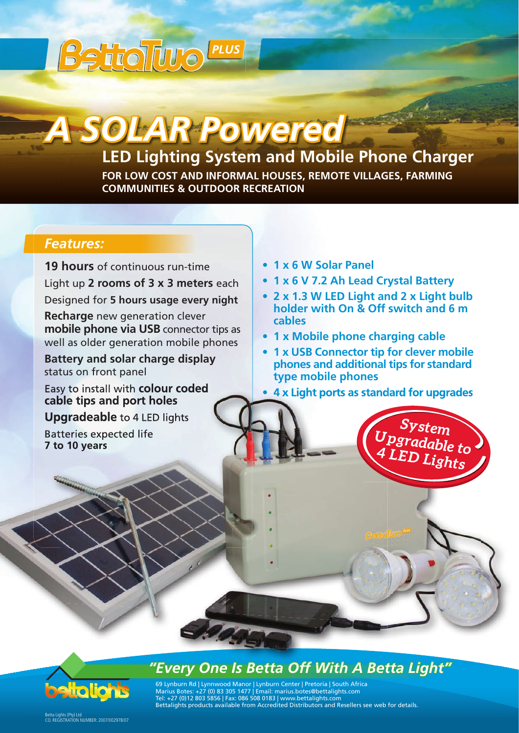# **Belioliu**o *PLUS*

# *A SOLAR Powered*

# **LED Lighting System and Mobile Phone Charger**

**FOR LOW COST AND INFORMAL HOUSES, REMOTE VILLAGES, FARMING COMMUNITIES & OUTDOOR RECREATION** 

### *Features:*

**19 hours** of continuous run-time

Light up **2 rooms of 3 x 3 meters** each Designed for **5 hours usage every night**

**Recharge** new generation clever **mobile phone via USB** connector tips as well as older generation mobile phones

**Battery and solar charge display** status on front panel

Easy to install with **colour coded cable tips and port holes**

**Upgradeable** to 4 LED lights

Batteries expected life **7 to 10 years**

- **1 x 6 W Solar Panel**
- **1 x 6 V 7.2 Ah Lead Crystal Battery**
- **2 x 1.3 W LED Light and 2 x Light bulb holder with On & Off switch and 6 m cables**
- **1 x Mobile phone charging cable**
- **1 x USB Connector tip for clever mobile phones and additional tips for standard type mobile phones**
- **4 x Light ports as standard for upgrades**

*System Upgradable to 4 LED Lights*



## *"Every One Is Betta Off With A Betta Light"*

69 Lynburn Rd | Lynnwood Manor | Lynburn Center | Pretoria | South Africa Marius Botes: +27 (0) 83 305 1477 | Email: marius.botes@bettalights.com Tel: +27 (0)12 803 5856 | Fax: 086 508 0183 | www.bettalights.com Bettalights products available from Accredited Distributors and Resellers see web for details.